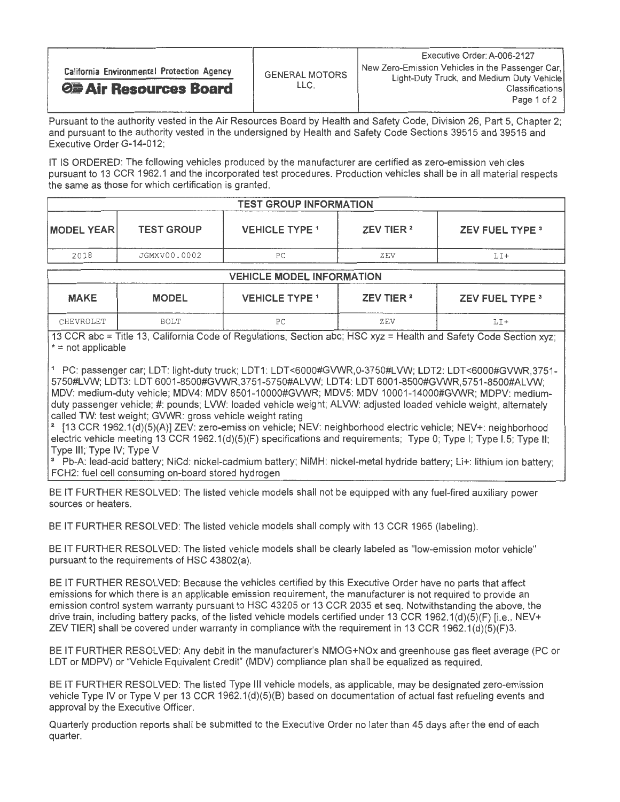Pursuant to the authority vested in the Air Resources Board by Health and Safety Code, Division 26, Part 5, Chapter 2; and pursuant to the authority vested in the undersigned by Health and Safety Code Sections 39515 and 39516 and Executive Order G-14-012;

IT IS ORDERED: The following vehicles produced by the manufacturer are certified as zero-emission vehicles pursuant to 13 CCR 1962.1 and the incorporated test procedures. Production vehicles shall be in all material respects the same as those for which certification is granted.

| <b>TEST GROUP INFORMATION</b> |                   |                       |                       |                        |  |  |
|-------------------------------|-------------------|-----------------------|-----------------------|------------------------|--|--|
| <b>IMODEL YEAR</b>            | <b>TEST GROUP</b> | <b>VEHICLE TYPE 1</b> | ZEV TIER <sup>2</sup> | <b>ZEV FUEL TYPE 3</b> |  |  |
| 2018                          | JGMXV00.0002      | PС                    | ZEV                   |                        |  |  |

## VEHICLE MODEL INFORMATION

| <b>MAKE</b> | <b>MODEL</b> | <b>VEHICLE TYPE 1</b> | ZEV TIER <sup>2</sup> | <b>ZEV FUEL TYPE 3</b> |
|-------------|--------------|-----------------------|-----------------------|------------------------|
| CHEVROLET   | BOLT         | DΓ<br>$\sim$          | ZEV                   | LI+                    |

13 CCR abc = Title 13, California Code of Regulations, Section abc; HSC xyz = Health and Safety Code Section xyz;  $* = not applicable$ 

1 PC: passenger car; LDT: light-duty truck; LDT1: LDT<6000#GVWR, 0-3750#LVW; LDT2: LDT<6000#GVWR,3751- 5750#LVW; LDT3: LDT 6001-6500#GVWR,3751-5750#ALVW; LDT4: LDT 6001-6500#GVWR,5751-8500#ALVW MDV: medium-duty vehicle; MDV4: MDV 8501-10000#GVWR; MDV5: MDV 10001-14000#GVWR; MDPV: mediumduty passenger vehicle; #: pounds; LVW: loaded vehicle weight; ALVW: adjusted loaded vehicle weight, alternately called TW: test weight; GVWR: gross vehicle weight rating

2 [13 CCR 1962.1(d)(5)(A)] ZEV: zero-emission vehicle; NEV: neighborhood electric vehicle; NEV+: neighborhood electric vehicle meeting 13 CCR 1962.1(d)(5)(F) specifications and requirements; Type 0; Type I; Type 1.5; Type II; Type Ill; Type IV; Type V

3 Pb-A: lead-acid battery; NiCd: nickel-cadmium battery; NIMH: nickel-metal hydride battery; Li+: lithium ion battery; FCH2: fuel cell consuming on-board stored hydrogen

BE IT FURTHER RESOLVED: The listed vehicle models shall not be equipped with any fuel-fired auxiliary power sources or heaters.

BE IT FURTHER RESOLVED: The listed vehicle models shall comply with 13 CCR 1965 (labeling).

BE IT FURTHER RESOLVED: The listed vehicle models shall be clearly labeled as "low-emission motor vehicle" pursuant to the requirements of HSC 43802(a)

BE IT FURTHER RESOLVED: Because the vehicles certified by this Executive Order have no parts that affect emissions for which there is an applicable emission requirement, the manufacturer is not required to provide an emission control system warranty pursuant to HSC 43205 or 13 CCR 2035 et seq. Notwithstanding the above, the drive train, including battery packs, of the listed vehicle models certified under 13 CCR 1962.1(d)(5)(F) [i.e., NEV+ ZEV TIER] shall be covered under warranty in compliance with the requirement in 13 CCR 1962.1(d)(5)(F)3.

BE IT FURTHER RESOLVED: Any debit in the manufacturer's NMOG+NOx and greenhouse gas fleet average (PC or LDT or MDPV) or "Vehicle Equivalent Credit" (MDV) compliance plan shall be equalized as required.

BE IT FURTHER RESOLVED: The listed Type Ill vehicle models, as applicable, may be designated zero-emission vehicle Type IV or Type V per 13 CCR 1962.1(d)(5)(B) based on documentation of actual fast refueling events and approval by the Executive Officer.

Quarterly production reports shall be submitted to the Executive Order no later than 45 days after the end of each quarter.